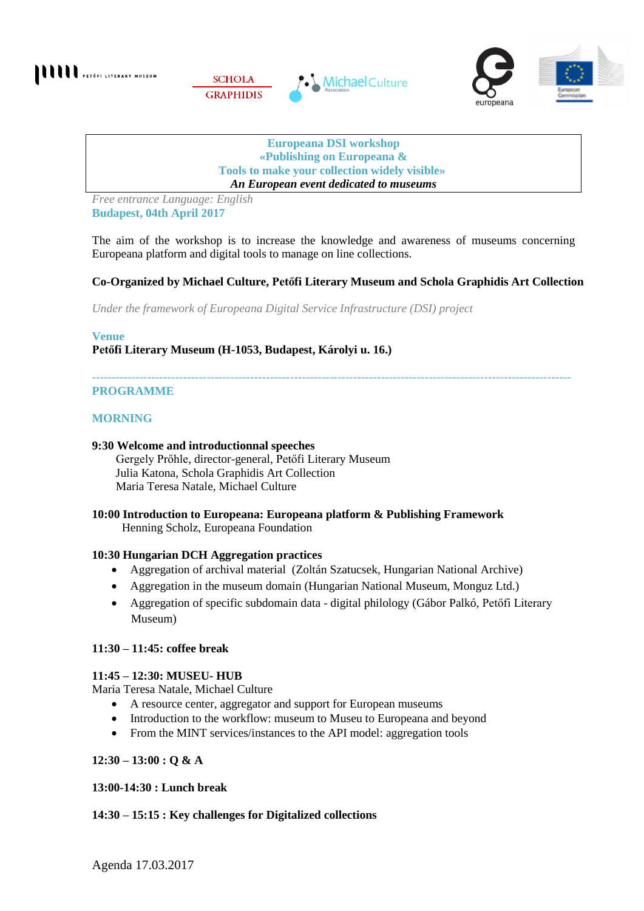

#### **Europeana DSI workshop «Publishing on Europeana & Tools to make your collection widely visible»** *An European event dedicated to museums*

*Free entrance Language: English* **Budapest, 04th April 2017**

The aim of the workshop is to increase the knowledge and awareness of museums concerning Europeana platform and digital tools to manage on line collections.

# **Co-Organized by Michael Culture, Petőfi Literary Museum and Schola Graphidis Art Collection**

*Under the framework of Europeana Digital Service Infrastructure (DSI) project*

**Venue Petőfi Literary Museum (H-1053, Budapest, Károlyi u. 16.)**

#### ------------------------------------------------------------------------------------------------------------------------- **PROGRAMME**

### **MORNING**

#### **9:30 Welcome and introductionnal speeches**

 Gergely Prőhle, director-general, Petőfi Literary Museum Julia Katona, Schola Graphidis Art Collection Maria Teresa Natale, Michael Culture

# **10:00 Introduction to Europeana: Europeana platform & Publishing Framework**

Henning Scholz, Europeana Foundation

#### **10:30 Hungarian DCH Aggregation practices**

- Aggregation of archival material (Zoltán Szatucsek, Hungarian National Archive)
- Aggregation in the museum domain (Hungarian National Museum, Monguz Ltd.)
- Aggregation of specific subdomain data digital philology (Gábor Palkó, Petőfi Literary Museum)

#### **11:30 – 11:45: coffee break**

#### **11:45 – 12:30: MUSEU- HUB**

Maria Teresa Natale, Michael Culture

- A resource center, aggregator and support for European museums
- Introduction to the workflow: museum to Museu to Europeana and beyond
- From the MINT services/instances to the API model: aggregation tools

## **12:30 – 13:00 : Q & A**

## **13:00-14:30 : Lunch break**

## **14:30 – 15:15 : Key challenges for Digitalized collections**